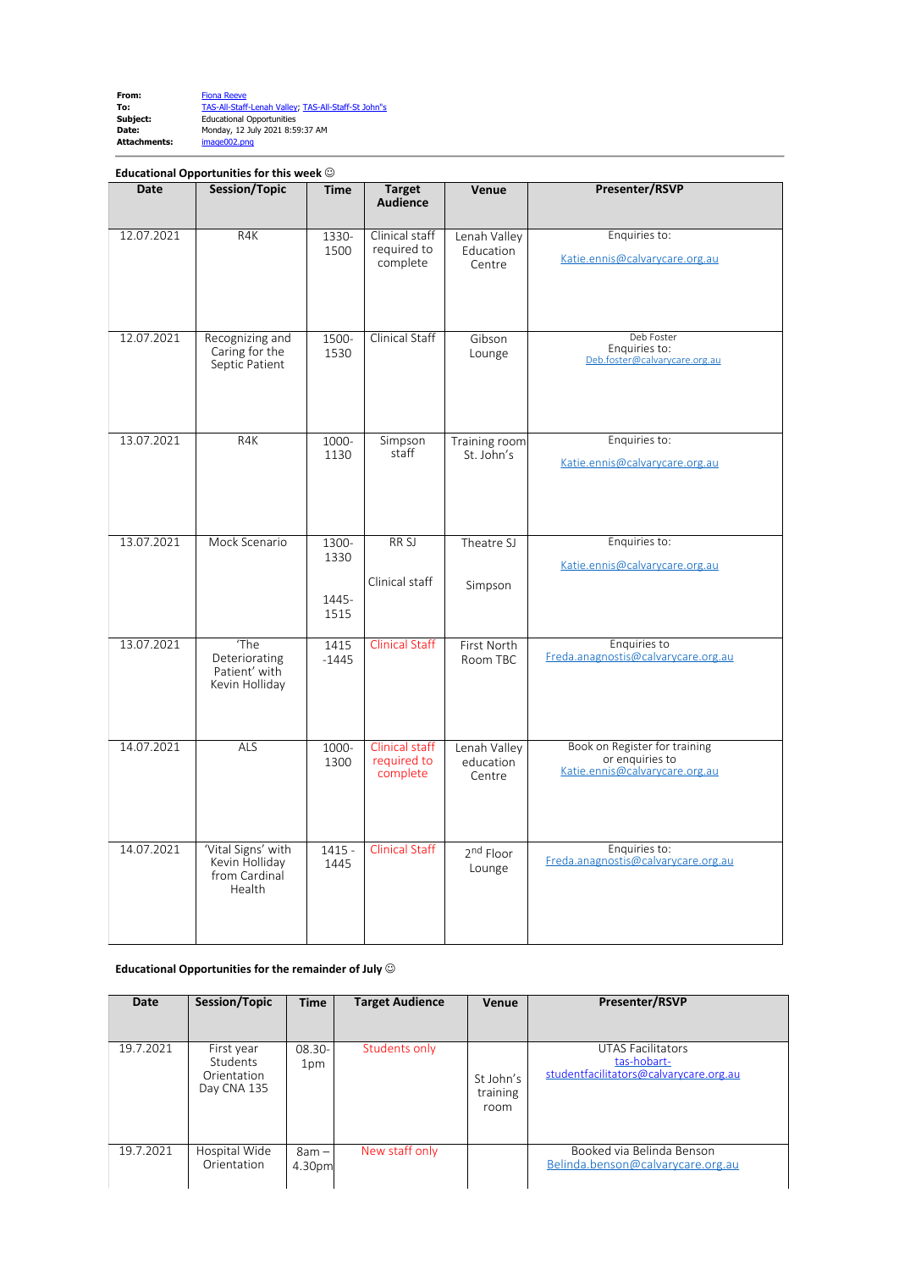| From:        | <b>Fiona Reeve</b>                                  |
|--------------|-----------------------------------------------------|
| To:          | TAS-All-Staff-Lenah Valley, TAS-All-Staff-St John"s |
| Subject:     | <b>Educational Opportunities</b>                    |
| Date:        | Monday, 12 July 2021 8:59:37 AM                     |
| Attachments: | image002.png                                        |

## **Educational Opportunities for this week**  $\odot$

| <b>Date</b> | <b>Session/Topic</b>                                            | <b>Time</b>                    | <b>Target</b><br><b>Audience</b>          | Venue                               | Presenter/RSVP                                                                     |
|-------------|-----------------------------------------------------------------|--------------------------------|-------------------------------------------|-------------------------------------|------------------------------------------------------------------------------------|
| 12.07.2021  | R4K                                                             | 1330-<br>1500                  | Clinical staff<br>required to<br>complete | Lenah Valley<br>Education<br>Centre | Enquiries to:<br>Katie.ennis@calvarycare.org.au                                    |
| 12.07.2021  | Recognizing and<br>Caring for the<br>Septic Patient             | 1500-<br>1530                  | Clinical Staff                            | Gibson<br>Lounge                    | Deb Foster<br>Enquiries to:<br>Deb.foster@calvarycare.org.au                       |
| 13.07.2021  | R4K                                                             | 1000-<br>1130                  | Simpson<br>staff                          | Training room<br>St. John's         | Enquiries to:<br>Katie.ennis@calvarycare.org.au                                    |
| 13.07.2021  | Mock Scenario                                                   | 1300-<br>1330<br>1445-<br>1515 | RR SJ<br>Clinical staff                   | Theatre SJ<br>Simpson               | Enquiries to:<br>Katie.ennis@calvarycare.org.au                                    |
| 13.07.2021  | The<br>Deteriorating<br>Patient' with<br>Kevin Holliday         | 1415<br>$-1445$                | <b>Clinical Staff</b>                     | First North<br>Room TBC             | Enquiries to<br>Freda.anagnostis@calvarycare.org.au                                |
| 14.07.2021  | ALS                                                             | 1000-<br>1300                  | Clinical staff<br>required to<br>complete | Lenah Valley<br>education<br>Centre | Book on Register for training<br>or enquiries to<br>Katie.ennis@calvarycare.org.au |
| 14.07.2021  | 'Vital Signs' with<br>Kevin Holliday<br>from Cardinal<br>Health | $1415 -$<br>1445               | <b>Clinical Staff</b>                     | 2 <sup>nd</sup> Floor<br>Lounge     | Enquiries to:<br>Freda.anagnostis@calvarycare.org.au                               |

## **Educational Opportunities for the remainder of July** J

| Date      | Session/Topic                                        | <b>Time</b>       | <b>Target Audience</b> | Venue                         | Presenter/RSVP                                                                    |
|-----------|------------------------------------------------------|-------------------|------------------------|-------------------------------|-----------------------------------------------------------------------------------|
| 19.7.2021 | First year<br>Students<br>Orientation<br>Day CNA 135 | $08.30 -$<br>1pm  | Students only          | St John's<br>training<br>room | <b>UTAS Facilitators</b><br>tas-hobart-<br>studentfacilitators@calvarycare.org.au |
| 19.7.2021 | Hospital Wide<br>Orientation                         | $8am -$<br>4.30pm | New staff only         |                               | Booked via Belinda Benson<br>Belinda.benson@calvarycare.org.au                    |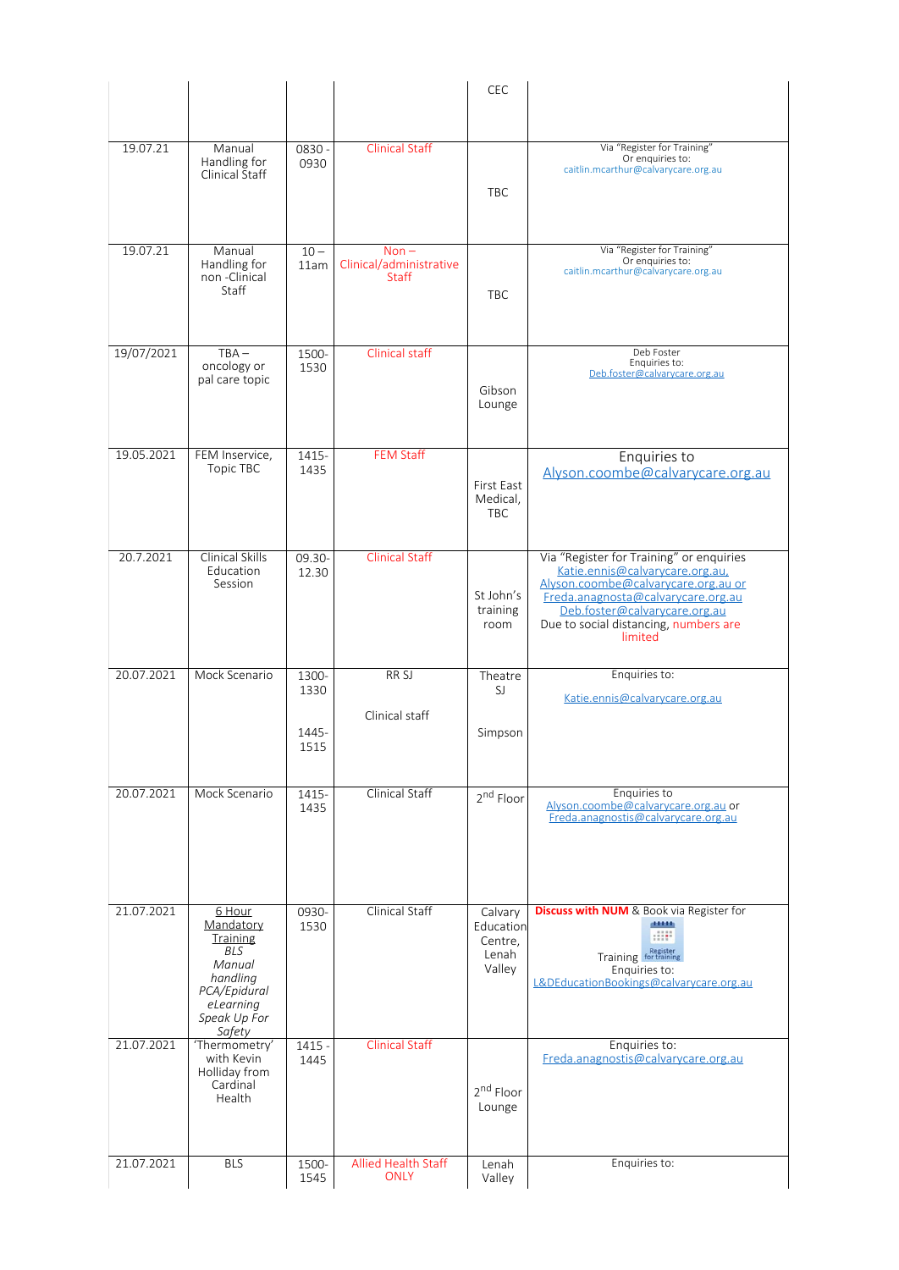|            |                                                                                                                                   |                  |                                                    | CEC                                                |                                                                                                                                                                                                                                               |
|------------|-----------------------------------------------------------------------------------------------------------------------------------|------------------|----------------------------------------------------|----------------------------------------------------|-----------------------------------------------------------------------------------------------------------------------------------------------------------------------------------------------------------------------------------------------|
|            |                                                                                                                                   |                  |                                                    |                                                    |                                                                                                                                                                                                                                               |
| 19.07.21   | Manual<br>Handling for<br>Clinical Staff                                                                                          | 0830 -<br>0930   | <b>Clinical Staff</b>                              | <b>TBC</b>                                         | Via "Register for Training"<br>Or enquiries to:<br>caitlin.mcarthur@calvarycare.org.au                                                                                                                                                        |
| 19.07.21   | Manual<br>Handling for<br>non-Clinical<br>Staff                                                                                   | $10 -$<br>11am   | $Non -$<br>Clinical/administrative<br><b>Staff</b> | TBC                                                | Via "Register for Training"<br>Or enquiries to:<br>caitlin.mcarthur@calvarycare.org.au                                                                                                                                                        |
| 19/07/2021 | $TBA -$<br>oncology or<br>pal care topic                                                                                          | 1500-<br>1530    | Clinical staff                                     | Gibson<br>Lounge                                   | Deb Foster<br>Enquiries to:<br>Deb.foster@calvarycare.org.au                                                                                                                                                                                  |
| 19.05.2021 | FEM Inservice,<br>Topic TBC                                                                                                       | 1415-<br>1435    | <b>FEM Staff</b>                                   | First East<br>Medical,<br><b>TBC</b>               | Enquiries to<br>Alyson.coombe@calvarycare.org.au                                                                                                                                                                                              |
| 20.7.2021  | <b>Clinical Skills</b><br>Education<br>Session                                                                                    | 09.30-<br>12.30  | <b>Clinical Staff</b>                              | St John's<br>training<br>room                      | Via "Register for Training" or enquiries<br>Katie.ennis@calvarycare.org.au.<br>Alyson.coombe@calvarycare.org.au or<br>Freda.anagnosta@calvarycare.org.au<br>Deb.foster@calvarycare.org.au<br>Due to social distancing, numbers are<br>limited |
| 20.07.2021 | Mock Scenario                                                                                                                     | 1300-<br>1330    | RR <sub>SJ</sub>                                   | Theatre<br>SJ                                      | Enquiries to:<br>Katie.ennis@calvarycare.org.au                                                                                                                                                                                               |
|            |                                                                                                                                   | 1445-<br>1515    | Clinical staff                                     | Simpson                                            |                                                                                                                                                                                                                                               |
| 20.07.2021 | Mock Scenario                                                                                                                     | 1415-<br>1435    | Clinical Staff                                     | 2 <sup>nd</sup> Floor                              | Enquiries to<br>Alyson.coombe@calvarycare.org.au or<br>Freda.anagnostis@calvarycare.org.au                                                                                                                                                    |
| 21.07.2021 | 6 Hour<br>Mandatory<br><b>Training</b><br><b>BLS</b><br>Manual<br>handling<br>PCA/Epidural<br>eLearning<br>Speak Up For<br>Safety | 0930-<br>1530    | <b>Clinical Staff</b>                              | Calvary<br>Education<br>Centre,<br>Lenah<br>Valley | <b>Discuss with NUM</b> & Book via Register for<br>diam'r.<br>Training Register<br>Enquiries to:<br>L&DEducationBookings@calvarycare.org.au                                                                                                   |
| 21.07.2021 | 'Thermometry'<br>with Kevin<br>Holliday from<br>Cardinal<br>Health                                                                | $1415 -$<br>1445 | <b>Clinical Staff</b>                              | 2 <sup>nd</sup> Floor<br>Lounge                    | Enquiries to:<br>Freda.anagnostis@calvarycare.org.au                                                                                                                                                                                          |
| 21.07.2021 | <b>BLS</b>                                                                                                                        | 1500-<br>1545    | Allied Health Staff<br><b>ONLY</b>                 | Lenah<br>Valley                                    | Enquiries to:                                                                                                                                                                                                                                 |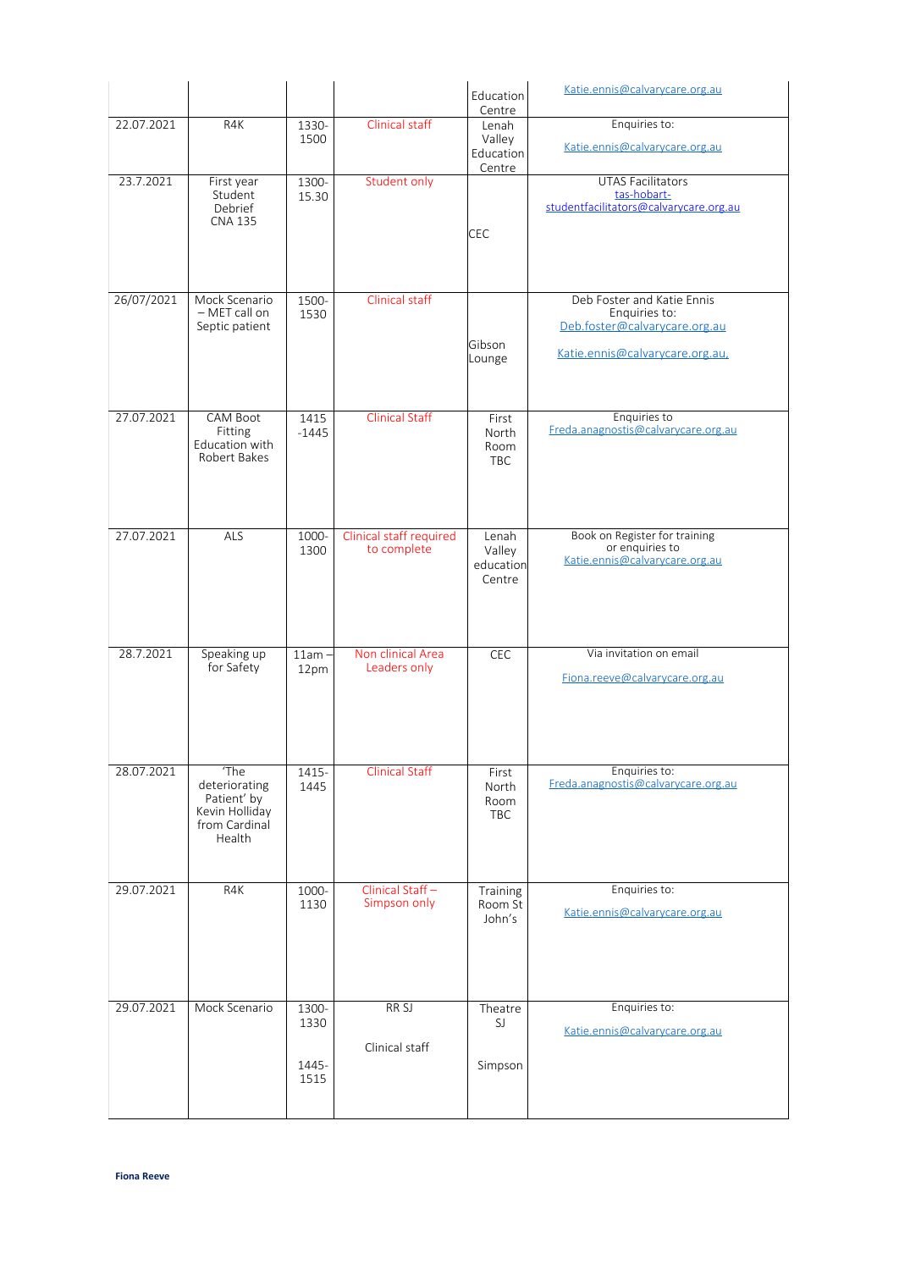|            |                                                                                   |                                |                                        | Education<br>Centre                    | Katie.ennis@calvarycare.org.au                                                                                  |
|------------|-----------------------------------------------------------------------------------|--------------------------------|----------------------------------------|----------------------------------------|-----------------------------------------------------------------------------------------------------------------|
| 22.07.2021 | R4K                                                                               | 1330-<br>1500                  | Clinical staff                         | Lenah<br>Valley<br>Education<br>Centre | Enquiries to:<br>Katie.ennis@calvarycare.org.au                                                                 |
| 23.7.2021  | First year<br>Student<br>Debrief<br><b>CNA 135</b>                                | 1300-<br>15.30                 | Student only                           | <b>CEC</b>                             | <b>UTAS Facilitators</b><br>tas-hobart-<br>studentfacilitators@calvarycare.org.au                               |
| 26/07/2021 | Mock Scenario<br>- MET call on<br>Septic patient                                  | 1500-<br>1530                  | Clinical staff                         | Gibson<br>Lounge                       | Deb Foster and Katie Ennis<br>Enquiries to:<br>Deb.foster@calvarycare.org.au<br>Katie.ennis@calvarycare.org.au, |
| 27.07.2021 | <b>CAM Boot</b><br>Fitting<br>Education with<br>Robert Bakes                      | 1415<br>$-1445$                | <b>Clinical Staff</b>                  | First<br>North<br>Room<br><b>TBC</b>   | Enquiries to<br>Freda.anagnostis@calvarycare.org.au                                                             |
| 27.07.2021 | ALS                                                                               | 1000-<br>1300                  | Clinical staff required<br>to complete | Lenah<br>Valley<br>education<br>Centre | Book on Register for training<br>or enquiries to<br>Katie.ennis@calvarycare.org.au                              |
| 28.7.2021  | Speaking up<br>for Safety                                                         | $11am -$<br>12pm               | Non clinical Area<br>Leaders only      | CEC                                    | Via invitation on email<br>Fiona.reeve@calvarycare.org.au                                                       |
| 28.07.2021 | 'The<br>deteriorating<br>Patient' by<br>Kevin Holliday<br>from Cardinal<br>Health | 1415-<br>1445                  | <b>Clinical Staff</b>                  | First<br>North<br>Room<br>TBC          | Enquiries to:<br>Freda.anagnostis@calvarycare.org.au                                                            |
| 29.07.2021 | R4K                                                                               | 1000-<br>1130                  | Clinical Staff-<br>Simpson only        | Training<br>Room St<br>John's          | Enquiries to:<br>Katie.ennis@calvarycare.org.au                                                                 |
| 29.07.2021 | Mock Scenario                                                                     | 1300-<br>1330<br>1445-<br>1515 | RR <sub>SJ</sub><br>Clinical staff     | Theatre<br>SJ<br>Simpson               | Enquiries to:<br>Katie.ennis@calvarycare.org.au                                                                 |